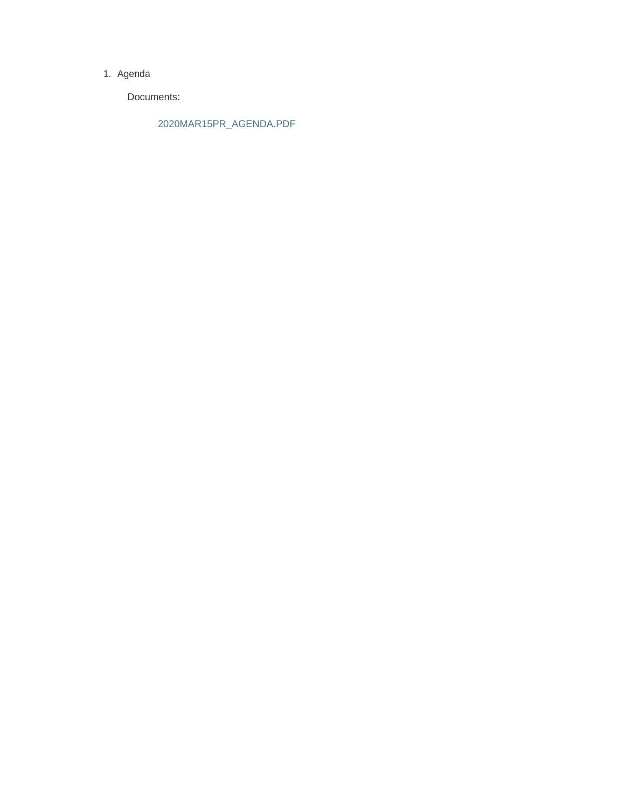#### 1. Agenda

Documents:

2020MAR15PR\_AGENDA.PDF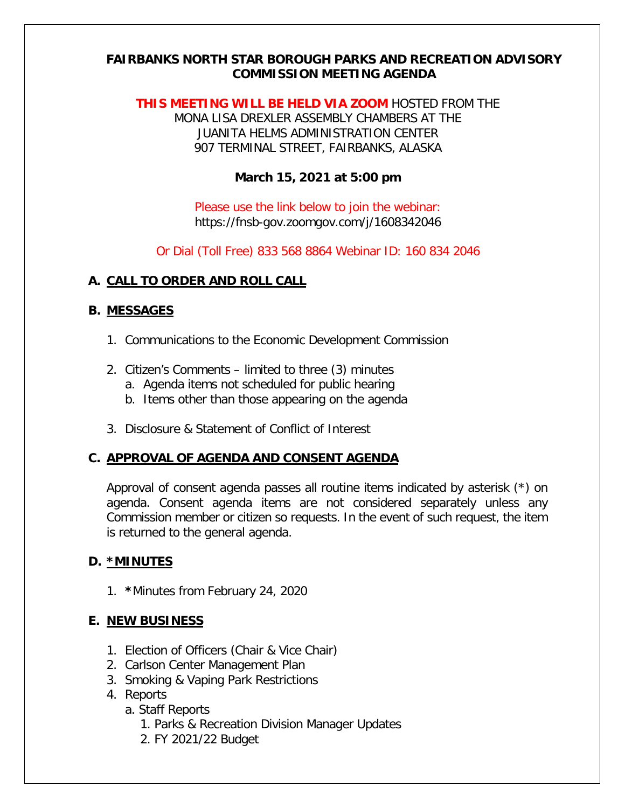### **FAIRBANKS NORTH STAR BOROUGH PARKS AND RECREATION ADVISORY COMMISSION MEETING AGENDA**

**THIS MEETING WILL BE HELD VIA ZOOM** HOSTED FROM THE MONA LISA DREXLER ASSEMBLY CHAMBERS AT THE JUANITA HELMS ADMINISTRATION CENTER 907 TERMINAL STREET, FAIRBANKS, ALASKA

### **March 15, 2021 at 5:00 pm**

Please use the link below to join the webinar: https://fnsb-gov.zoomgov.com/j/1608342046

Or Dial (Toll Free) 833 568 8864 Webinar ID: 160 834 2046

### **A. CALL TO ORDER AND ROLL CALL**

#### **B. MESSAGES**

- 1. Communications to the Economic Development Commission
- 2. Citizen's Comments limited to three (3) minutes
	- a. Agenda items not scheduled for public hearing
	- b. Items other than those appearing on the agenda
- 3. Disclosure & Statement of Conflict of Interest

### **C. APPROVAL OF AGENDA AND CONSENT AGENDA**

Approval of consent agenda passes all routine items indicated by asterisk (\*) on agenda. Consent agenda items are not considered separately unless any Commission member or citizen so requests. In the event of such request, the item is returned to the general agenda.

### **D. \*MINUTES**

1. **\***Minutes from February 24, 2020

### **E. NEW BUSINESS**

- 1. Election of Officers (Chair & Vice Chair)
- 2. Carlson Center Management Plan
- 3. Smoking & Vaping Park Restrictions
- 4. Reports
	- a. Staff Reports
		- 1. Parks & Recreation Division Manager Updates
		- 2. FY 2021/22 Budget